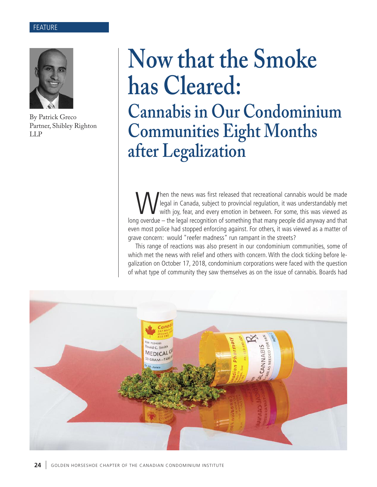#### FEATURE



By Patrick Greco Partner, Shibley Righton LLP

# **Now that the Smoke has Cleared: Cannabis in Our Condominium Communities Eight Months after Legalization**

When the news was first released that recreational cannabis would be made<br>legal in Canada, subject to provincial regulation, it was understandably met<br>with joy, fear, and every emotion in between. For some, this was viewed legal in Canada, subject to provincial regulation, it was understandably met with joy, fear, and every emotion in between. For some, this was viewed as long overdue – the legal recognition of something that many people did anyway and that even most police had stopped enforcing against. For others, it was viewed as a matter of grave concern: would "reefer madness" run rampant in the streets?

This range of reactions was also present in our condominium communities, some of which met the news with relief and others with concern. With the clock ticking before legalization on October 17, 2018, condominium corporations were faced with the question of what type of community they saw themselves as on the issue of cannabis. Boards had

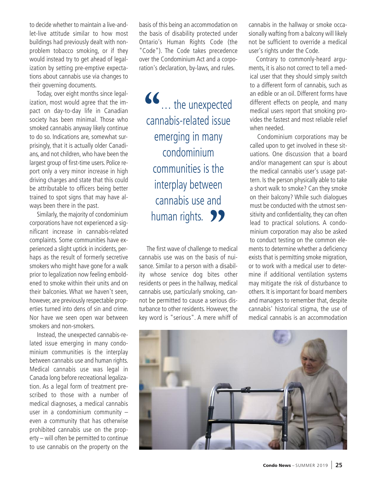to decide whether to maintain a live-andlet-live attitude similar to how most buildings had previously dealt with nonproblem tobacco smoking, or if they would instead try to get ahead of legalization by setting pre-emptive expectations about cannabis use via changes to their governing documents.

Today, over eight months since legalization, most would agree that the impact on day-to-day life in Canadian society has been minimal. Those who smoked cannabis anyway likely continue to do so. Indications are, somewhat surprisingly, that it is actually older Canadians, and not children, who have been the largest group of first-time users. Police report only a very minor increase in high driving charges and state that this could be attributable to officers being better trained to spot signs that may have always been there in the past.

Similarly, the majority of condominium corporations have not experienced a significant increase in cannabis-related complaints. Some communities have experienced a slight uptick in incidents, perhaps as the result of formerly secretive smokers who might have gone for a walk prior to legalization now feeling emboldened to smoke within their units and on their balconies. What we haven't seen, however, are previously respectable properties turned into dens of sin and crime. Nor have we seen open war between smokers and non-smokers.

Instead, the unexpected cannabis-related issue emerging in many condominium communities is the interplay between cannabis use and human rights. Medical cannabis use was legal in Canada long before recreational legalization. As a legal form of treatment prescribed to those with a number of medical diagnoses, a medical cannabis user in a condominium community – even a community that has otherwise prohibited cannabis use on the property – will often be permitted to continue to use cannabis on the property on the

basis of this being an accommodation on the basis of disability protected under Ontario's Human Rights Code (the "Code"). The Code takes precedence over the Condominium Act and a corporation's declaration, by-laws, and rules.

**"**… the unexpected cannabis-related issue emerging in many condominium communities is the interplay between cannabis use and human rights. <br>**P**<br>**Pe first wave of challenge to me** 

The first wave of challenge to medical cannabis use was on the basis of nuisance. Similar to a person with a disability whose service dog bites other residents or pees in the hallway, medical cannabis use, particularly smoking, cannot be permitted to cause a serious disturbance to other residents. However, the key word is "serious". A mere whiff of cannabis in the hallway or smoke occasionally wafting from a balcony will likely not be sufficient to override a medical user's rights under the Code.

Contrary to commonly-heard arguments, it is also not correct to tell a medical user that they should simply switch to a different form of cannabis, such as an edible or an oil. Different forms have different effects on people, and many medical users report that smoking provides the fastest and most reliable relief when needed.

Condominium corporations may be called upon to get involved in these situations. One discussion that a board and/or management can spur is about the medical cannabis user's usage pattern. Is the person physically able to take a short walk to smoke? Can they smoke on their balcony? While such dialogues must be conducted with the utmost sensitivity and confidentiality, they can often lead to practical solutions. A condominium corporation may also be asked to conduct testing on the common elements to determine whether a deficiency exists that is permitting smoke migration, or to work with a medical user to determine if additional ventilation systems may mitigate the risk of disturbance to others. It is important for board members and managers to remember that, despite cannabis' historical stigma, the use of medical cannabis is an accommodation